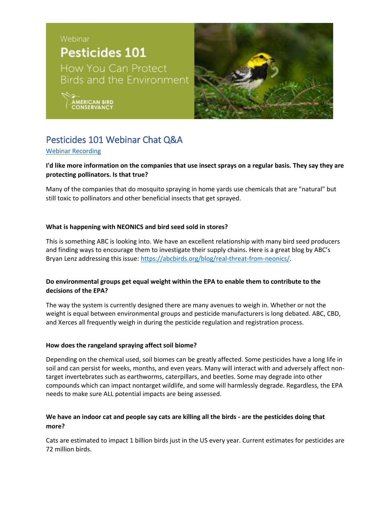

# Pesticides 101 Webinar Chat Q&A

### [Webinar Recording](https://youtu.be/B71C2C7de9Y)

## **I'd like more information on the companies that use insect sprays on a regular basis. They say they are protecting pollinators. Is that true?**

Many of the companies that do mosquito spraying in home yards use chemicals that are "natural" but still toxic to pollinators and other beneficial insects that get sprayed.

### **What is happening with NEONICS and bird seed sold in stores?**

This is something ABC is looking into. We have an excellent relationship with many bird seed producers and finding ways to encourage them to investigate their supply chains. Here is a great blog by ABC's Bryan Lenz addressing this issue: [https://abcbirds.org/blog/real-threat-from-neonics/.](https://abcbirds.org/blog/real-threat-from-neonics/)

# **Do environmental groups get equal weight within the EPA to enable them to contribute to the decisions of the EPA?**

The way the system is currently designed there are many avenues to weigh in. Whether or not the weight is equal between environmental groups and pesticide manufacturers is long debated. ABC, CBD, and Xerces all frequently weigh in during the pesticide regulation and registration process.

### **How does the rangeland spraying affect soil biome?**

Depending on the chemical used, soil biomes can be greatly affected. Some pesticides have a long life in soil and can persist for weeks, months, and even years. Many will interact with and adversely affect nontarget invertebrates such as earthworms, caterpillars, and beetles. Some may degrade into other compounds which can impact nontarget wildlife, and some will harmlessly degrade. Regardless, the EPA needs to make sure ALL potential impacts are being assessed.

### **We have an indoor cat and people say cats are killing all the birds - are the pesticides doing that more?**

Cats are estimated to impact 1 billion birds just in the US every year. Current estimates for pesticides are 72 million birds.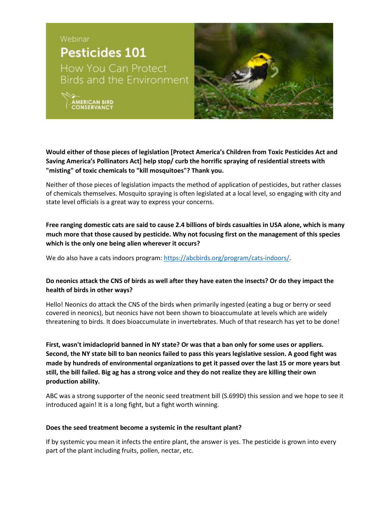

**Would either of those pieces of legislation [Protect America's Children from Toxic Pesticides Act and Saving America's Pollinators Act] help stop/ curb the horrific spraying of residential streets with "misting" of toxic chemicals to "kill mosquitoes"? Thank you.**

Neither of those pieces of legislation impacts the method of application of pesticides, but rather classes of chemicals themselves. Mosquito spraying is often legislated at a local level, so engaging with city and state level officials is a great way to express your concerns.

**Free ranging domestic cats are said to cause 2.4 billions of birds casualties in USA alone, which is many much more that those caused by pesticide. Why not focusing first on the management of this species which is the only one being alien wherever it occurs?**

We do also have a cats indoors program[: https://abcbirds.org/program/cats-indoors/.](https://abcbirds.org/program/cats-indoors/)

### **Do neonics attack the CNS of birds as well after they have eaten the insects? Or do they impact the health of birds in other ways?**

Hello! Neonics do attack the CNS of the birds when primarily ingested (eating a bug or berry or seed covered in neonics), but neonics have not been shown to bioaccumulate at levels which are widely threatening to birds. It does bioaccumulate in invertebrates. Much of that research has yet to be done!

**First, wasn't imidacloprid banned in NY state? Or was that a ban only for some uses or appliers. Second, the NY state bill to ban neonics failed to pass this years legislative session. A good fight was made by hundreds of environmental organizations to get it passed over the last 15 or more years but still, the bill failed. Big ag has a strong voice and they do not realize they are killing their own production ability.**

ABC was a strong supporter of the neonic seed treatment bill (S.699D) this session and we hope to see it introduced again! It is a long fight, but a fight worth winning.

### **Does the seed treatment become a systemic in the resultant plant?**

If by systemic you mean it infects the entire plant, the answer is yes. The pesticide is grown into every part of the plant including fruits, pollen, nectar, etc.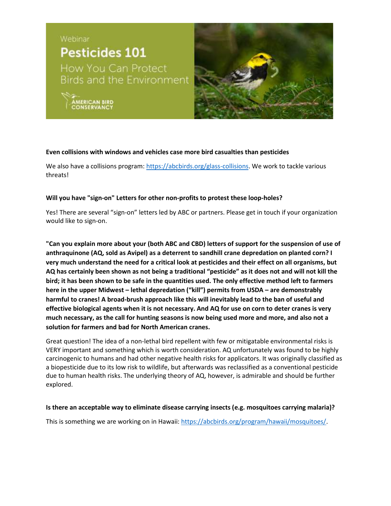**ERICAN BIRD**<br>NSERVANCY



### **Even collisions with windows and vehicles case more bird casualties than pesticides**

We also have a collisions program: [https://abcbirds.org/glass-collisions.](https://abcbirds.org/glass-collisions) We work to tackle various threats!

#### **Will you have "sign-on" Letters for other non-profits to protest these loop-holes?**

Yes! There are several "sign-on" letters led by ABC or partners. Please get in touch if your organization would like to sign-on.

**"Can you explain more about your (both ABC and CBD) letters of support for the suspension of use of anthraquinone (AQ, sold as Avipel) as a deterrent to sandhill crane depredation on planted corn? I very much understand the need for a critical look at pesticides and their effect on all organisms, but AQ has certainly been shown as not being a traditional "pesticide" as it does not and will not kill the bird; it has been shown to be safe in the quantities used. The only effective method left to farmers here in the upper Midwest – lethal depredation ("kill") permits from USDA – are demonstrably harmful to cranes! A broad-brush approach like this will inevitably lead to the ban of useful and effective biological agents when it is not necessary. And AQ for use on corn to deter cranes is very much necessary, as the call for hunting seasons is now being used more and more, and also not a solution for farmers and bad for North American cranes.**

Great question! The idea of a non-lethal bird repellent with few or mitigatable environmental risks is VERY important and something which is worth consideration. AQ unfortunately was found to be highly carcinogenic to humans and had other negative health risks for applicators. It was originally classified as a biopesticide due to its low risk to wildlife, but afterwards was reclassified as a conventional pesticide due to human health risks. The underlying theory of AQ, however, is admirable and should be further explored.

#### **Is there an acceptable way to eliminate disease carrying insects (e.g. mosquitoes carrying malaria)?**

This is something we are working on in Hawaii[: https://abcbirds.org/program/hawaii/mosquitoes/.](https://abcbirds.org/program/hawaii/mosquitoes/)